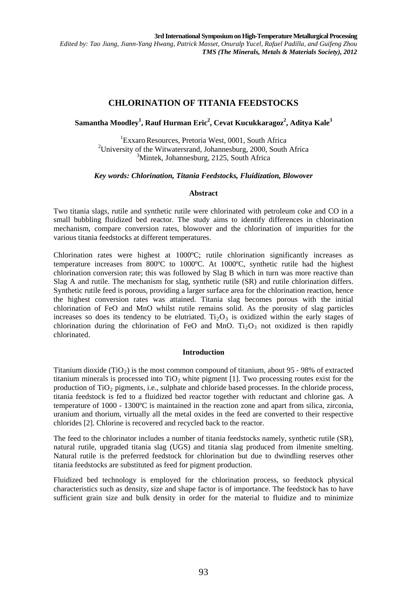# **CHLORINATION OF TITANIA FEEDSTOCKS**

## $\boldsymbol{\mathrm{Samantha\;}\,}\boldsymbol{\mathrm{Modley}}^1$ , Rauf Hurman Eric<sup>2</sup>, Cevat Kucukkaragoz<sup>2</sup>, Aditya Kale<sup>3</sup>

<sup>1</sup>Exxaro Resources, Pretoria West, 0001, South Africa Exxaro Resources, Pretoria West, 0001, South Africa<sup>2</sup><br><sup>2</sup>University of the Witwatersrand, Johannesburg, 2000, South University of the Witwatersrand, Johannesburg, 2000, South Africa<br> $\frac{3 \text{Mintek}}{2000}$  Johannesburg, 2125, South Africa <sup>3</sup>Mintek, Johannesburg, 2125, South Africa

### *Key words: Chlorination, Titania Feedstocks, Fluidization, Blowover*

### **Abstract**

Two titania slags, rutile and synthetic rutile were chlorinated with petroleum coke and CO in a small bubbling fluidized bed reactor. The study aims to identify differences in chlorination mechanism, compare conversion rates, blowover and the chlorination of impurities for the various titania feedstocks at different temperatures.

Chlorination rates were highest at 1000ºC; rutile chlorination significantly increases as temperature increases from 800ºC to 1000ºC. At 1000ºC, synthetic rutile had the highest chlorination conversion rate; this was followed by Slag B which in turn was more reactive than Slag A and rutile. The mechanism for slag, synthetic rutile (SR) and rutile chlorination differs. Synthetic rutile feed is porous, providing a larger surface area for the chlorination reaction, hence the highest conversion rates was attained. Titania slag becomes porous with the initial chlorination of FeO and MnO whilst rutile remains solid. As the porosity of slag particles increases so does its tendency to be elutriated.  $Ti<sub>2</sub>O<sub>3</sub>$  is oxidized within the early stages of chlorination during the chlorination of FeO and MnO.  $Ti<sub>2</sub>O<sub>3</sub>$  not oxidized is then rapidly chlorinated.

#### **Introduction**

Titanium dioxide (TiO<sub>2</sub>) is the most common compound of titanium, about 95 - 98% of extracted titanium minerals is processed into  $TiO<sub>2</sub>$  white pigment [1]. Two processing routes exist for the production of TiO<sub>2</sub> pigments, i.e., sulphate and chloride based processes. In the chloride process, titania feedstock is fed to a fluidized bed reactor together with reductant and chlorine gas. A temperature of 1000 - 1300ºC is maintained in the reaction zone and apart from silica, zirconia, uranium and thorium, virtually all the metal oxides in the feed are converted to their respective chlorides [2]. Chlorine is recovered and recycled back to the reactor.

The feed to the chlorinator includes a number of titania feedstocks namely, synthetic rutile (SR), natural rutile, upgraded titania slag (UGS) and titania slag produced from ilmenite smelting. Natural rutile is the preferred feedstock for chlorination but due to dwindling reserves other titania feedstocks are substituted as feed for pigment production.

Fluidized bed technology is employed for the chlorination process, so feedstock physical characteristics such as density, size and shape factor is of importance. The feedstock has to have sufficient grain size and bulk density in order for the material to fluidize and to minimize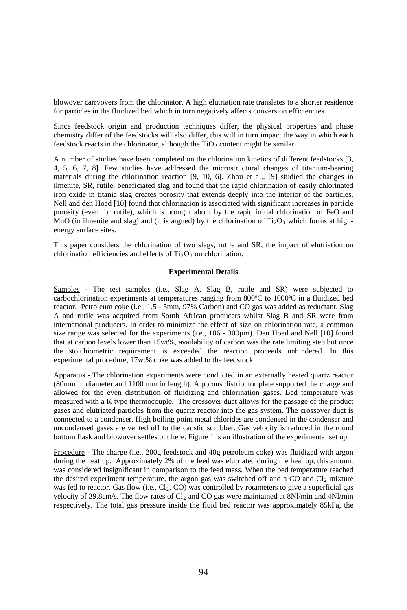blowover carryovers from the chlorinator. A high elutriation rate translates to a shorter residence for particles in the fluidized bed which in turn negatively affects conversion efficiencies.

Since feedstock origin and production techniques differ, the physical properties and phase chemistry differ of the feedstocks will also differ, this will in turn impact the way in which each feedstock reacts in the chlorinator, although the  $TiO<sub>2</sub>$  content might be similar.

A number of studies have been completed on the chlorination kinetics of different feedstocks [3, 4, 5, 6, 7, 8]. Few studies have addressed the microstructural changes of titanium-bearing materials during the chlorination reaction [9, 10, 6]. Zhou et al., [9] studied the changes in ilmenite, SR, rutile, beneficiated slag and found that the rapid chlorination of easily chlorinated iron oxide in titania slag creates porosity that extends deeply into the interior of the particles. Nell and den Hoed [10] found that chlorination is associated with significant increases in particle porosity (even for rutile), which is brought about by the rapid initial chlorination of FeO and MnO (in ilmenite and slag) and (it is argued) by the chlorination of  $Ti_2O_3$  which forms at highenergy surface sites.

This paper considers the chlorination of two slags, rutile and SR, the impact of elutriation on chlorination efficiencies and effects of  $Ti<sub>2</sub>O<sub>3</sub>$  on chlorination.

#### **Experimental Details**

Samples - The test samples (i.e., Slag A, Slag B, rutile and SR) were subjected to carbochlorination experiments at temperatures ranging from 800ºC to 1000ºC in a fluidized bed reactor. Petroleum coke (i.e., 1.5 - 5mm, 97% Carbon) and CO gas was added as reductant. Slag A and rutile was acquired from South African producers whilst Slag B and SR were from international producers. In order to minimize the effect of size on chlorination rate, a common size range was selected for the experiments (i.e., 106 - 300µm). Den Hoed and Nell [10] found that at carbon levels lower than 15wt%, availability of carbon was the rate limiting step but once the stoichiometric requirement is exceeded the reaction proceeds unhindered. In this experimental procedure, 17wt% coke was added to the feedstock.

Apparatus - The chlorination experiments were conducted in an externally heated quartz reactor (80mm in diameter and 1100 mm in length). A porous distributor plate supported the charge and allowed for the even distribution of fluidizing and chlorination gases. Bed temperature was measured with a K type thermocouple. The crossover duct allows for the passage of the product gases and elutriated particles from the quartz reactor into the gas system. The crossover duct is connected to a condenser. High boiling point metal chlorides are condensed in the condenser and uncondensed gases are vented off to the caustic scrubber. Gas velocity is reduced in the round bottom flask and blowover settles out here. Figure 1 is an illustration of the experimental set up.

Procedure - The charge (i.e., 200g feedstock and 40g petroleum coke) was fluidized with argon during the heat up. Approximately 2% of the feed was elutriated during the heat up; this amount was considered insignificant in comparison to the feed mass. When the bed temperature reached the desired experiment temperature, the argon gas was switched off and a CO and  $Cl_2$  mixture was fed to reactor. Gas flow (i.e.,  $Cl_2$ ,  $CO$ ) was controlled by rotameters to give a superficial gas velocity of 39.8cm/s. The flow rates of  $Cl_2$  and CO gas were maintained at 8Nl/min and 4Nl/min respectively. The total gas pressure inside the fluid bed reactor was approximately 85kPa, the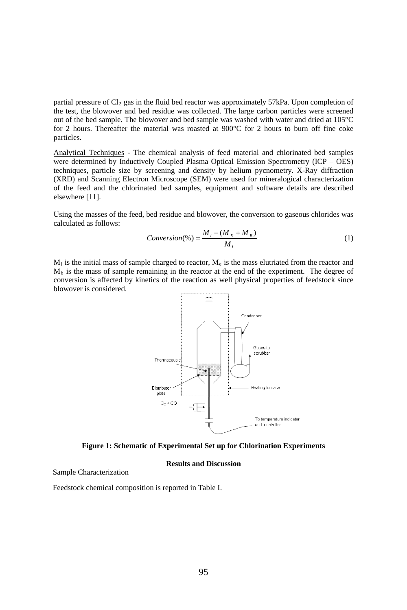partial pressure of Cl<sub>2</sub> gas in the fluid bed reactor was approximately 57kPa. Upon completion of the test, the blowover and bed residue was collected. The large carbon particles were screened out of the bed sample. The blowover and bed sample was washed with water and dried at 105°C for 2 hours. Thereafter the material was roasted at 900°C for 2 hours to burn off fine coke particles.

Analytical Techniques - The chemical analysis of feed material and chlorinated bed samples were determined by Inductively Coupled Plasma Optical Emission Spectrometry (ICP – OES) techniques, particle size by screening and density by helium pycnometry. X-Ray diffraction (XRD) and Scanning Electron Microscope (SEM) were used for mineralogical characterization of the feed and the chlorinated bed samples, equipment and software details are described elsewhere [11].

Using the masses of the feed, bed residue and blowover, the conversion to gaseous chlorides was calculated as follows:

$$
Conversion(\%) = \frac{M_i - (M_E + M_B)}{M_i}
$$
 (1)

 $M_i$  is the initial mass of sample charged to reactor,  $M_e$  is the mass elutriated from the reactor and  $M<sub>b</sub>$  is the mass of sample remaining in the reactor at the end of the experiment. The degree of conversion is affected by kinetics of the reaction as well physical properties of feedstock since blowover is considered.



**Figure 1: Schematic of Experimental Set up for Chlorination Experiments**

#### **Results and Discussion**

Sample Characterization

Feedstock chemical composition is reported in Table I.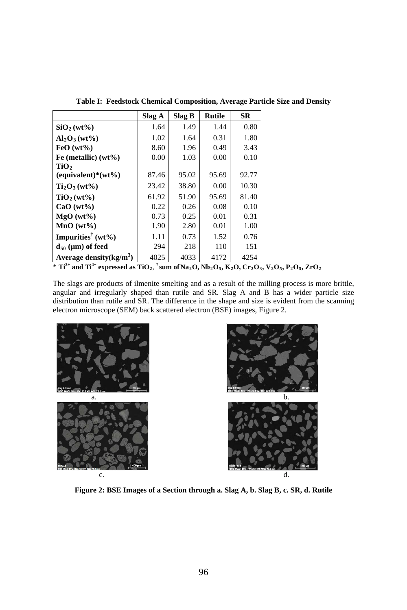|                                     | Slag A | Slag B | <b>Rutile</b> | <b>SR</b> |
|-------------------------------------|--------|--------|---------------|-----------|
| SiO <sub>2</sub> (wt <sub>9</sub> ) | 1.64   | 1.49   | 1.44          | 0.80      |
| $Al_2O_3(wt\%)$                     | 1.02   | 1.64   | 0.31          | 1.80      |
| $FeO(wt\%)$                         | 8.60   | 1.96   | 0.49          | 3.43      |
| Fe (metallic) $(wt\%)$              | 0.00   | 1.03   | 0.00          | 0.10      |
| TiO,                                |        |        |               |           |
| $(equivalent)*(wt\%)$               | 87.46  | 95.02  | 95.69         | 92.77     |
| $Ti2O3 (wt9)$                       | 23.42  | 38.80  | 0.00          | 10.30     |
| TiO <sub>2</sub> (wt <sub>0</sub> ) | 61.92  | 51.90  | 95.69         | 81.40     |
| $CaO(wt\%)$                         | 0.22   | 0.26   | 0.08          | 0.10      |
| $MgO(wt\%)$                         | 0.73   | 0.25   | 0.01          | 0.31      |
| $MnO(wt\%)$                         | 1.90   | 2.80   | 0.01          | 1.00      |
| Impurities <sup>†</sup> (wt%)       | 1.11   | 0.73   | 1.52          | 0.76      |
| $d_{50}$ (µm) of feed               | 294    | 218    | 110           | 151       |
| Average density $(kg/m^3)$          | 4025   | 4033   | 4172          | 4254      |

**Table I: Feedstock Chemical Composition, Average Particle Size and Density**

 $*$  **Ti**<sup>3+</sup> and **Ti**<sup>4+</sup> expressed as **TiO**<sub>2</sub>, <sup>†</sup> sum of Na<sub>2</sub>O, Nb<sub>2</sub>O<sub>5</sub>, K<sub>2</sub>O, Cr<sub>2</sub>O<sub>3</sub>, V<sub>2</sub>O<sub>5</sub>, P<sub>2</sub>O<sub>5</sub>, ZrO<sub>2</sub>

The slags are products of ilmenite smelting and as a result of the milling process is more brittle, angular and irregularly shaped than rutile and SR. Slag A and B has a wider particle size distribution than rutile and SR. The difference in the shape and size is evident from the scanning electron microscope (SEM) back scattered electron (BSE) images, Figure 2.





**Figure 2: BSE Images of a Section through a. Slag A, b. Slag B, c. SR, d. Rutile**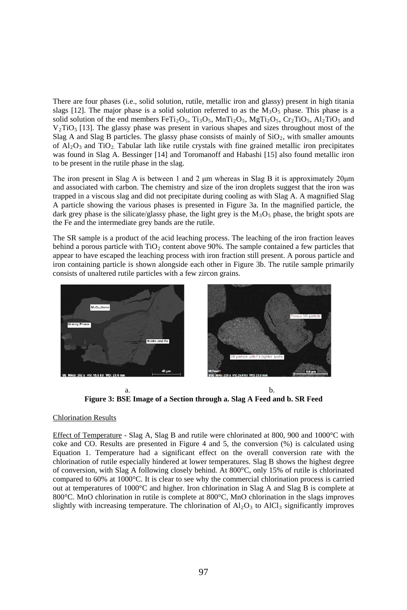There are four phases (i.e., solid solution, rutile, metallic iron and glassy) present in high titania slags [12]. The major phase is a solid solution referred to as the  $M<sub>3</sub>O<sub>5</sub>$  phase. This phase is a solid solution of the end members  $FerTi<sub>2</sub>O<sub>5</sub>$ ,  $Ti<sub>3</sub>O<sub>5</sub>$ ,  $MnTi<sub>2</sub>O<sub>5</sub>$ ,  $MgTi<sub>2</sub>O<sub>5</sub>$ ,  $Cr<sub>2</sub>TiO<sub>5</sub>$ ,  $Al<sub>2</sub>TiO<sub>5</sub>$  and  $V_2$ TiO<sub>5</sub> [13]. The glassy phase was present in various shapes and sizes throughout most of the Slag A and Slag B particles. The glassy phase consists of mainly of  $SiO<sub>2</sub>$ , with smaller amounts of  $A1_2O_3$  and TiO<sub>2</sub>. Tabular lath like rutile crystals with fine grained metallic iron precipitates was found in Slag A. Bessinger [14] and Toromanoff and Habashi [15] also found metallic iron to be present in the rutile phase in the slag.

The iron present in Slag A is between 1 and 2 μm whereas in Slag B it is approximately 20 μm and associated with carbon. The chemistry and size of the iron droplets suggest that the iron was trapped in a viscous slag and did not precipitate during cooling as with Slag A. A magnified Slag A particle showing the various phases is presented in Figure 3a. In the magnified particle, the dark grey phase is the silicate/glassy phase, the light grey is the  $M_3O_5$  phase, the bright spots are the Fe and the intermediate grey bands are the rutile.

The SR sample is a product of the acid leaching process. The leaching of the iron fraction leaves behind a porous particle with  $TiO<sub>2</sub>$  content above 90%. The sample contained a few particles that appear to have escaped the leaching process with iron fraction still present. A porous particle and iron containing particle is shown alongside each other in Figure 3b. The rutile sample primarily consists of unaltered rutile particles with a few zircon grains.



a.  $\qquad \qquad b.$ **Figure 3: BSE Image of a Section through a. Slag A Feed and b. SR Feed**

## Chlorination Results

Effect of Temperature - Slag A, Slag B and rutile were chlorinated at 800, 900 and 1000°C with coke and CO. Results are presented in Figure 4 and 5, the conversion (%) is calculated using Equation 1. Temperature had a significant effect on the overall conversion rate with the chlorination of rutile especially hindered at lower temperatures. Slag B shows the highest degree of conversion, with Slag A following closely behind. At 800°C, only 15% of rutile is chlorinated compared to 60% at 1000°C. It is clear to see why the commercial chlorination process is carried out at temperatures of 1000°C and higher. Iron chlorination in Slag A and Slag B is complete at 800°C. MnO chlorination in rutile is complete at 800°C, MnO chlorination in the slags improves slightly with increasing temperature. The chlorination of  $A1<sub>2</sub>O<sub>3</sub>$  to  $A1Cl<sub>3</sub>$  significantly improves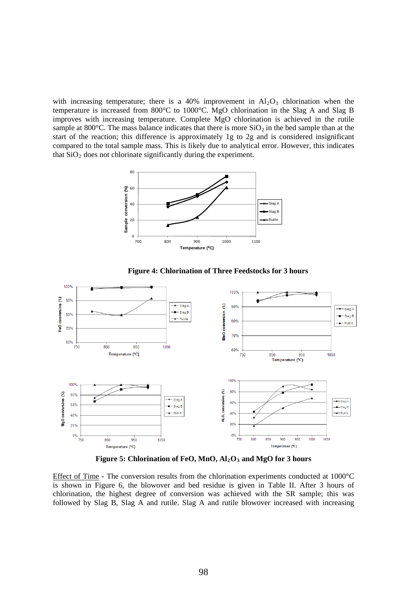with increasing temperature; there is a  $40\%$  improvement in  $Al_2O_3$  chlorination when the temperature is increased from 800°C to 1000°C. MgO chlorination in the Slag A and Slag B improves with increasing temperature. Complete MgO chlorination is achieved in the rutile sample at 800 $^{\circ}$ C. The mass balance indicates that there is more SiO<sub>2</sub> in the bed sample than at the start of the reaction; this difference is approximately 1g to 2g and is considered insignificant compared to the total sample mass. This is likely due to analytical error. However, this indicates that  $SiO<sub>2</sub>$  does not chlorinate significantly during the experiment.



**Figure 4: Chlorination of Three Feedstocks for 3 hours**



 **Figure 5: Chlorination of FeO, MnO, Al2O3 and MgO for 3 hours**

Effect of Time - The conversion results from the chlorination experiments conducted at 1000°C is shown in Figure 6, the blowover and bed residue is given in Table II. After 3 hours of chlorination, the highest degree of conversion was achieved with the SR sample; this was followed by Slag B, Slag A and rutile. Slag A and rutile blowover increased with increasing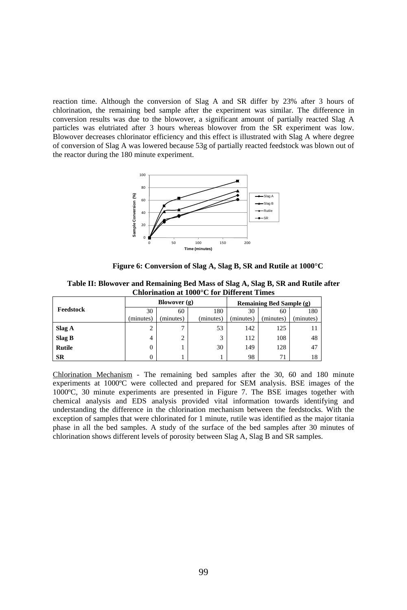reaction time. Although the conversion of Slag A and SR differ by 23% after 3 hours of chlorination, the remaining bed sample after the experiment was similar. The difference in conversion results was due to the blowover, a significant amount of partially reacted Slag A particles was elutriated after 3 hours whereas blowover from the SR experiment was low. Blowover decreases chlorinator efficiency and this effect is illustrated with Slag A where degree of conversion of Slag A was lowered because 53g of partially reacted feedstock was blown out of the reactor during the 180 minute experiment.



**Figure 6: Conversion of Slag A, Slag B, SR and Rutile at 1000°C** 

**Table II: Blowover and Remaining Bed Mass of Slag A, Slag B, SR and Rutile after Chlorination at 1000°C for Different Times**

|               |           | Blowover $(g)$ |           | Remaining Bed Sample (g) |           |           |
|---------------|-----------|----------------|-----------|--------------------------|-----------|-----------|
| Feedstock     | 30        | 60             | 180       | 30                       | 60        | 180       |
|               | (minutes) | minutes)       | (minutes) | (minutes)                | (minutes) | (minutes) |
| Slag A        |           | 7              | 53        | 142                      | 125       |           |
| Slag B        | 4         | 2              | 3         | 112                      | 108       | 48        |
| <b>Rutile</b> | 0         |                | 30        | 149                      | 128       | 47        |
| SR            |           |                |           | 98                       | 71        | 18        |

Chlorination Mechanism - The remaining bed samples after the 30, 60 and 180 minute experiments at 1000ºC were collected and prepared for SEM analysis. BSE images of the 1000ºC, 30 minute experiments are presented in Figure 7. The BSE images together with chemical analysis and EDS analysis provided vital information towards identifying and understanding the difference in the chlorination mechanism between the feedstocks. With the exception of samples that were chlorinated for 1 minute, rutile was identified as the major titania phase in all the bed samples. A study of the surface of the bed samples after 30 minutes of chlorination shows different levels of porosity between Slag A, Slag B and SR samples.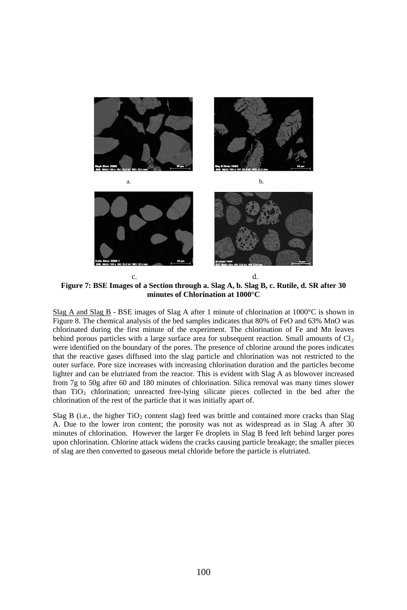

**Figure 7: BSE Images of a Section through a. Slag A, b. Slag B, c. Rutile, d. SR after 30 minutes of Chlorination at 1000°C**

Slag A and Slag B - BSE images of Slag A after 1 minute of chlorination at  $1000^{\circ}$ C is shown in Figure 8. The chemical analysis of the bed samples indicates that 80% of FeO and 63% MnO was chlorinated during the first minute of the experiment. The chlorination of Fe and Mn leaves behind porous particles with a large surface area for subsequent reaction. Small amounts of  $Cl<sub>2</sub>$ were identified on the boundary of the pores. The presence of chlorine around the pores indicates that the reactive gases diffused into the slag particle and chlorination was not restricted to the outer surface. Pore size increases with increasing chlorination duration and the particles become lighter and can be elutriated from the reactor. This is evident with Slag A as blowover increased from 7g to 50g after 60 and 180 minutes of chlorination. Silica removal was many times slower than  $TiO<sub>2</sub>$  chlorination; unreacted free-lying silicate pieces collected in the bed after the chlorination of the rest of the particle that it was initially apart of.

Slag B (i.e., the higher  $TiO<sub>2</sub>$  content slag) feed was brittle and contained more cracks than Slag A. Due to the lower iron content; the porosity was not as widespread as in Slag A after 30 minutes of chlorination. However the larger Fe droplets in Slag B feed left behind larger pores upon chlorination. Chlorine attack widens the cracks causing particle breakage; the smaller pieces of slag are then converted to gaseous metal chloride before the particle is elutriated.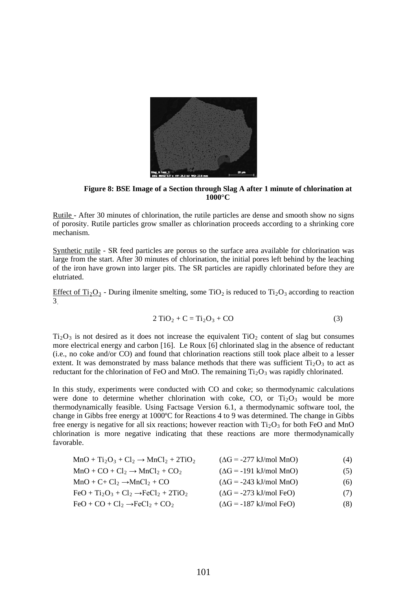

**Figure 8: BSE Image of a Section through Slag A after 1 minute of chlorination at 1000°C**

Rutile - After 30 minutes of chlorination, the rutile particles are dense and smooth show no signs of porosity. Rutile particles grow smaller as chlorination proceeds according to a shrinking core mechanism.

Synthetic rutile - SR feed particles are porous so the surface area available for chlorination was large from the start. After 30 minutes of chlorination, the initial pores left behind by the leaching of the iron have grown into larger pits. The SR particles are rapidly chlorinated before they are elutriated.

Effect of Ti<sub>2</sub>O<sub>3</sub> - During ilmenite smelting, some TiO<sub>2</sub> is reduced to Ti<sub>2</sub>O<sub>3</sub> according to reaction 3.

$$
2 TiO2 + C = Ti2O3 + CO
$$
 (3)

 $Ti<sub>2</sub>O<sub>3</sub>$  is not desired as it does not increase the equivalent TiO<sub>2</sub> content of slag but consumes more electrical energy and carbon [16]. Le Roux [6] chlorinated slag in the absence of reductant (i.e., no coke and/or CO) and found that chlorination reactions still took place albeit to a lesser extent. It was demonstrated by mass balance methods that there was sufficient  $Ti<sub>2</sub>O<sub>3</sub>$  to act as reductant for the chlorination of FeO and MnO. The remaining  $Ti<sub>2</sub>O<sub>3</sub>$  was rapidly chlorinated.

In this study, experiments were conducted with CO and coke; so thermodynamic calculations were done to determine whether chlorination with coke, CO, or  $Ti<sub>2</sub>O<sub>3</sub>$  would be more thermodynamically feasible. Using Factsage Version 6.1, a thermodynamic software tool, the change in Gibbs free energy at 1000ºC for Reactions 4 to 9 was determined. The change in Gibbs free energy is negative for all six reactions; however reaction with  $Ti<sub>2</sub>O<sub>3</sub>$  for both FeO and MnO chlorination is more negative indicating that these reactions are more thermodynamically favorable.

| $MnO + Ti2O3 + Cl2 \rightarrow MnCl2 + 2TiO2$ | $(\Delta G = -277 \text{ kJ/mol MnO})$ | (4) |
|-----------------------------------------------|----------------------------------------|-----|
| $MnO + CO + Cl_2 \rightarrow MnCl_2 + CO_2$   | $(\Delta G = -191 \text{ kJ/mol MnO})$ | (5) |
| $MnO + C + Cl_2 \rightarrow MnCl_2 + CO$      | $(\Delta G = -243 \text{ kJ/mol MnO})$ | (6) |
| $FeO + Ti2O3 + Cl2 \rightarrow FeCl2 + 2TiO2$ | $(\Delta G = -273 \text{ kJ/mol}$ FeO) | (7) |
| $FeO + CO + Cl_2 \rightarrow FeCl_2 + CO_2$   | $(\Delta G = -187 \text{ kJ/mol}$ FeO) | (8) |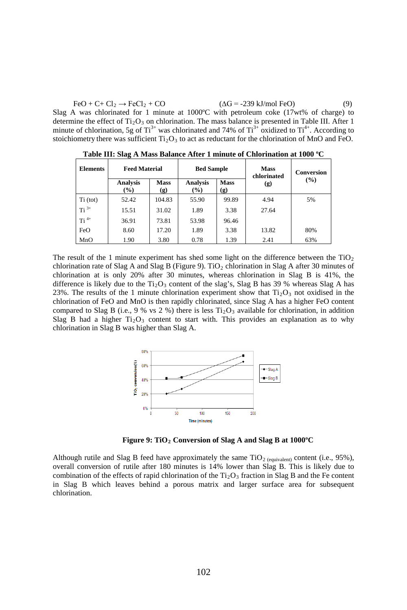$FeO + C + Cl_2 \rightarrow FeCl_2 + CO$  ( $\Delta G = -239 \text{ kJ/mol}$  FeO) (9) Slag A was chlorinated for 1 minute at  $1000^{\circ}$ C with petroleum coke  $(17wt\%$  of charge) to determine the effect of  $Ti<sub>2</sub>O<sub>3</sub>$  on chlorination. The mass balance is presented in Table III. After 1

**Elements Feed Material Bed Sample Mass chlorinated (g) Conversion** Analysis Mass Analysis Mass (g) (%) **(%) Mass (g) Analysis (%) Mass (g)** Ti (tot)  $\begin{array}{|c|c|c|c|c|c|c|c|} \hline \end{array}$  52.42  $\begin{array}{|c|c|c|c|c|c|} \hline \end{array}$  104.83  $\begin{array}{|c|c|c|c|c|} \hline \end{array}$  55.90  $\begin{array}{|c|c|c|c|c|} \hline \end{array}$  99.89  $\begin{array}{|c|c|c|c|} \hline \end{array}$  4.94  $\begin{array}{|c|c|c|c|c|} \hline \end{array}$ Ti<sup>3+</sup> | 15.51 | 31.02 | 1.89 | 3.38 | 27.64  $\overline{71}^{4+}$  36.91 73.81 53.98 96.46 FeO | 8.60 | 17.20 | 1.89 | 3.38 | 13.82 | 80% MnO 1.90 3.80 0.78 1.39 2.41 63%

stoichiometry there was sufficient  $Ti<sub>2</sub>O<sub>3</sub>$  to act as reductant for the chlorination of MnO and FeO. **Table III: Slag A Mass Balance After 1 minute of Chlorination at 1000 ºC**

minute of chlorination, 5g of  $Ti^{3+}$  was chlorinated and 74% of  $Ti^{3+}$  oxidized to  $Ti^{4+}$ . According to

The result of the 1 minute experiment has shed some light on the difference between the  $TiO<sub>2</sub>$ chlorination rate of Slag A and Slag B (Figure 9). TiO<sub>2</sub> chlorination in Slag A after 30 minutes of chlorination at is only 20% after 30 minutes, whereas chlorination in Slag B is 41%, the difference is likely due to the  $Ti<sub>2</sub>O<sub>3</sub>$  content of the slag's, Slag B has 39 % whereas Slag A has 23%. The results of the 1 minute chlorination experiment show that  $Ti<sub>2</sub>O<sub>3</sub>$  not oxidised in the chlorination of FeO and MnO is then rapidly chlorinated, since Slag A has a higher FeO content compared to Slag B (i.e., 9 % vs 2 %) there is less  $Ti<sub>2</sub>O<sub>3</sub>$  available for chlorination, in addition Slag B had a higher  $Ti<sub>2</sub>O<sub>3</sub>$  content to start with. This provides an explanation as to why chlorination in Slag B was higher than Slag A.



**Figure 9: TiO<sub>2</sub> Conversion of Slag A and Slag B at 1000°C** 

Although rutile and Slag B feed have approximately the same  $TiO<sub>2</sub>$  (equivalent) content (i.e., 95%), overall conversion of rutile after 180 minutes is 14% lower than Slag B. This is likely due to combination of the effects of rapid chlorination of the  $Ti<sub>2</sub>O<sub>3</sub>$  fraction in Slag B and the Fe content in Slag B which leaves behind a porous matrix and larger surface area for subsequent chlorination.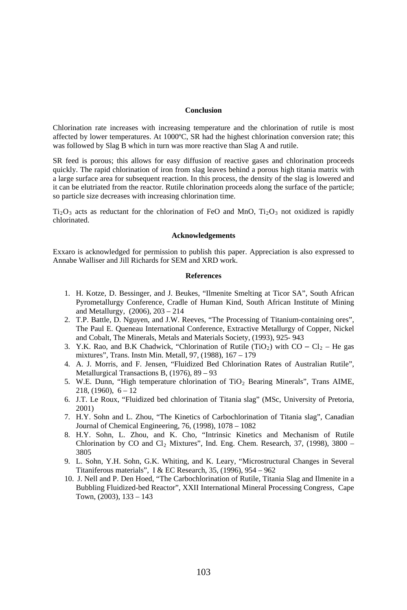#### **Conclusion**

Chlorination rate increases with increasing temperature and the chlorination of rutile is most affected by lower temperatures. At 1000ºC, SR had the highest chlorination conversion rate; this was followed by Slag B which in turn was more reactive than Slag A and rutile.

SR feed is porous; this allows for easy diffusion of reactive gases and chlorination proceeds quickly. The rapid chlorination of iron from slag leaves behind a porous high titania matrix with a large surface area for subsequent reaction. In this process, the density of the slag is lowered and it can be elutriated from the reactor. Rutile chlorination proceeds along the surface of the particle; so particle size decreases with increasing chlorination time.

 $Ti<sub>2</sub>O<sub>3</sub>$  acts as reductant for the chlorination of FeO and MnO,  $Ti<sub>2</sub>O<sub>3</sub>$  not oxidized is rapidly chlorinated.

#### **Acknowledgements**

Exxaro is acknowledged for permission to publish this paper. Appreciation is also expressed to Annabe Walliser and Jill Richards for SEM and XRD work.

#### **References**

- 1. H. Kotze, D. Bessinger, and J. Beukes, "Ilmenite Smelting at Ticor SA", South African Pyrometallurgy Conference, Cradle of Human Kind, South African Institute of Mining and Metallurgy, (2006), 203 – 214
- 2. T.P. Battle, D. Nguyen, and J.W. Reeves, "The Processing of Titanium-containing ores", The Paul E. Queneau International Conference, Extractive Metallurgy of Copper, Nickel and Cobalt, The Minerals, Metals and Materials Society, (1993), 925- 943
- 3. Y.K. Rao, and B.K Chadwick, "Chlorination of Rutile (TiO<sub>2</sub>) with  $CO Cl_2 He$  gas mixtures", Trans. Instn Min. Metall, 97, (1988), 167 – 179
- 4. A. J. Morris, and F. Jensen, "Fluidized Bed Chlorination Rates of Australian Rutile", Metallurgical Transactions B, (1976), 89 – 93
- 5. W.E. Dunn, "High temperature chlorination of TiO<sub>2</sub> Bearing Minerals", Trans AIME, 218,  $(1960)$ ,  $6 - 12$
- 6. J.T. Le Roux, "Fluidized bed chlorination of Titania slag" (MSc, University of Pretoria, 2001)
- 7. H.Y. Sohn and L. Zhou, "The Kinetics of Carbochlorination of Titania slag", Canadian Journal of Chemical Engineering, 76, (1998), 1078 – 1082
- 8. H.Y. Sohn, L. Zhou, and K. Cho, "Intrinsic Kinetics and Mechanism of Rutile Chlorination by CO and Cl<sub>2</sub> Mixtures", Ind. Eng. Chem. Research, 37, (1998), 3800 -3805
- 9. L. Sohn, Y.H. Sohn, G.K. Whiting, and K. Leary, "Microstructural Changes in Several Titaniferous materials", I & EC Research, 35, (1996), 954 – 962
- 10. J. Nell and P. Den Hoed, "The Carbochlorination of Rutile, Titania Slag and Ilmenite in a Bubbling Fluidized-bed Reactor", XXII International Mineral Processing Congress, Cape Town, (2003), 133 – 143